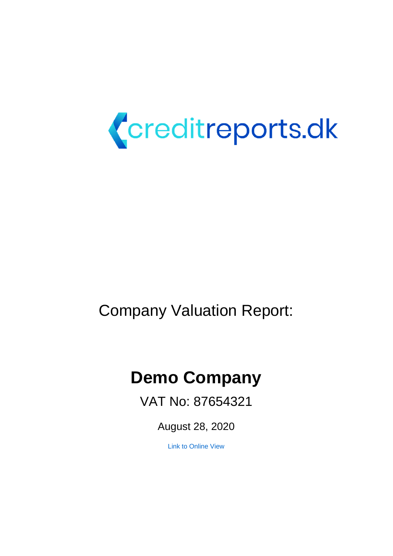

# Company Valuation Report:

# **Demo Company**

VAT No: 87654321

August 28, 2020

[Link to Online View](https://creditanalysis.valuatum.com/CompanyViews.action?page=overview&fid=132326&compareFid=0&percentageComparison=false)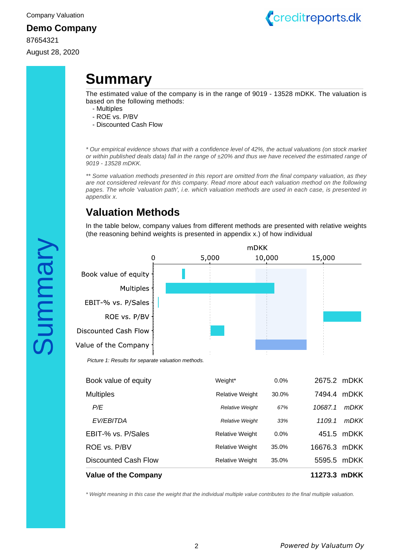87654321 August 28, 2020



# <span id="page-1-0"></span>**Summary**

The estimated value of the company is in the range of 9019 - 13528 mDKK. The valuation is based on the following methods:

- Multiples
- ROE vs. P/BV
- Discounted Cash Flow

\* Our empirical evidence shows that with a confidence level of 42%, the actual valuations (on stock market or within published deals data) fall in the range of ±20% and thus we have received the estimated range of 9019 - 13528 mDKK.

\*\* Some valuation methods presented in this report are omitted from the final company valuation, as they are not considered relevant for this company. Read more about each valuation method on the following pages. The whole 'valuation path', i.e. which valuation methods are used in each case, is presented in appendix x.

# **Valuation Methods**

In the table below, company values from different methods are presented with relative weights (the reasoning behind weights is presented in appendix x.) of how individual



| <b>Value of the Company</b> |                        |       | 11273.3 mDKK |             |
|-----------------------------|------------------------|-------|--------------|-------------|
| <b>Discounted Cash Flow</b> | <b>Relative Weight</b> | 35.0% | 5595.5       | <b>mDKK</b> |
| ROE vs. P/BV                | <b>Relative Weight</b> | 35.0% | 16676.3 mDKK |             |
| EBIT-% vs. P/Sales          | <b>Relative Weight</b> | 0.0%  |              | 451.5 mDKK  |
| EV/EBITDA                   | <b>Relative Weight</b> | 33%   | 1109.1       | <i>mDKK</i> |
| P/E                         | <b>Relative Weight</b> | 67%   | 10687.1      | <i>mDKK</i> |
| <b>Multiples</b>            | <b>Relative Weight</b> | 30.0% | 7494.4       | mDKK        |
| Book value of equity        | Weight*                | 0.0%  |              | 2675.2 mDKK |

\* Weight meaning in this case the weight that the individual multiple value contributes to the final multiple valuation.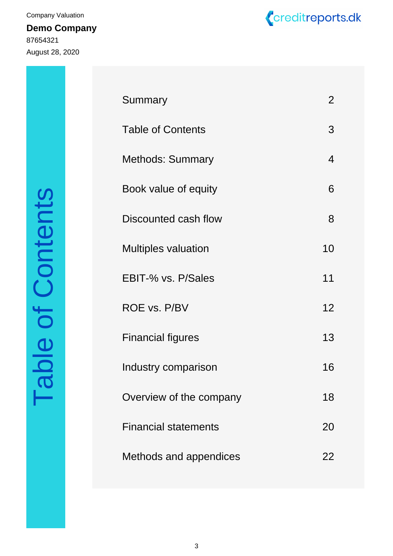**Demo Company** 87654321 August 28, 2020 Company Valuation



| ACTANTO                 |
|-------------------------|
|                         |
|                         |
| $\dot{\bm{\zeta}}$      |
| $\overline{\mathbf{C}}$ |
| <u>(</u>                |
|                         |

| Summary                     | 2  |
|-----------------------------|----|
| <b>Table of Contents</b>    | 3  |
| <b>Methods: Summary</b>     | 4  |
| Book value of equity        | 6  |
| Discounted cash flow        | 8  |
| <b>Multiples valuation</b>  | 10 |
| EBIT-% vs. P/Sales          | 11 |
| ROE vs. P/BV                | 12 |
| <b>Financial figures</b>    | 13 |
| Industry comparison         | 16 |
| Overview of the company     | 18 |
| <b>Financial statements</b> | 20 |
| Methods and appendices      | 22 |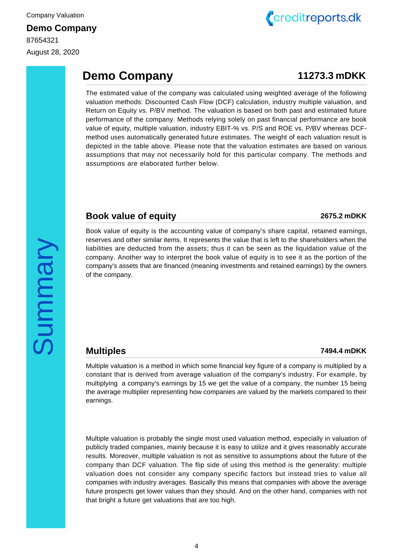August 28, 2020



# **Demo Company 11273.3 mDKK**

The estimated value of the company was calculated using weighted average of the following valuation methods: Discounted Cash Flow (DCF) calculation, industry multiple valuation, and Return on Equity vs. P/BV method. The valuation is based on both past and estimated future performance of the company. Methods relying solely on past financial performance are book value of equity, multiple valuation, industry EBIT-% vs. P/S and ROE vs. P/BV whereas DCFmethod uses automatically generated future estimates. The weight of each valuation result is depicted in the table above. Please note that the valuation estimates are based on various assumptions that may not necessarily hold for this particular company. The methods and assumptions are elaborated further below.

#### **Book value of equity 2675.2 mDKK**

Book value of equity is the accounting value of company's share capital, retained earnings, reserves and other similar items. It represents the value that is left to the shareholders when the liabilities are deducted from the assets; thus it can be seen as the liquidation value of the company. Another way to interpret the book value of equity is to see it as the portion of the company's assets that are financed (meaning investments and retained earnings) by the owners of the company.

# Summary

## **Multiples 7494.4**

#### **mDKK**

Multiple valuation is a method in which some financial key figure of a company is multiplied by a constant that is derived from average valuation of the company's industry. For example, by multiplying a company's earnings by 15 we get the value of a company, the number 15 being the average multiplier representing how companies are valued by the markets compared to their earnings.

Multiple valuation is probably the single most used valuation method, especially in valuation of publicly traded companies, mainly because it is easy to utilize and it gives reasonably accurate results. Moreover, multiple valuation is not as sensitive to assumptions about the future of the company than DCF valuation. The flip side of using this method is the generality: multiple valuation does not consider any company specific factors but instead tries to value all companies with industry averages. Basically this means that companies with above the average future prospects get lower values than they should. And on the other hand, companies with not that bright a future get valuations that are too high.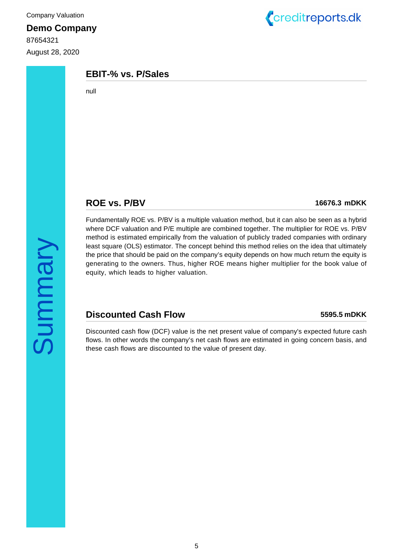87654321 August 28, 2020



#### **EBIT-% vs. P/Sales**

null

#### **ROE vs. P/BV 16676.3 mDKK**

Fundamentally ROE vs. P/BV is a multiple valuation method, but it can also be seen as a hybrid where DCF valuation and P/E multiple are combined together. The multiplier for ROE vs. P/BV method is estimated empirically from the valuation of publicly traded companies with ordinary least square (OLS) estimator. The concept behind this method relies on the idea that ultimately the price that should be paid on the company's equity depends on how much return the equity is generating to the owners. Thus, higher ROE means higher multiplier for the book value of equity, which leads to higher valuation.

## **Discounted Cash Flow 5595.5 mDKK**

Discounted cash flow (DCF) value is the net present value of company's expected future cash flows. In other words the company's net cash flows are estimated in going concern basis, and these cash flows are discounted to the value of present day.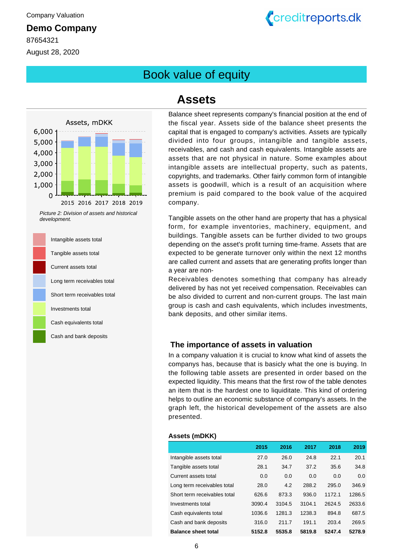87654321 August 28, 2020 Creditreports.dk

<span id="page-5-0"></span>Book value of equity



Picture 2: Division of assets and historical development.



# **Assets**

Balance sheet represents company's financial position at the end of the fiscal year. Assets side of the balance sheet presents the capital that is engaged to company's activities. Assets are typically divided into four groups, intangible and tangible assets, receivables, and cash and cash equivalents. Intangible assets are assets that are not physical in nature. Some examples about intangible assets are intellectual property, such as patents, copyrights, and trademarks. Other fairly common form of intangible assets is goodwill, which is a result of an acquisition where premium is paid compared to the book value of the acquired company.

Tangible assets on the other hand are property that has a physical form, for example inventories, machinery, equipment, and buildings. Tangible assets can be further divided to two groups depending on the asset's profit turning time-frame. Assets that are expected to be generate turnover only within the next 12 months are called current and assets that are generating profits longer than a year are non-

Receivables denotes something that company has already delivered by has not yet received compensation. Receivables can be also divided to current and non-current groups. The last main group is cash and cash equivalents, which includes investments, bank deposits, and other similar items.

#### **The importance of assets in valuation**

In a company valuation it is crucial to know what kind of assets the companys has, because that is basicly what the one is buying. In the following table assets are presented in order based on the expected liquidity. This means that the first row of the table denotes an item that is the hardest one to liquiditate. This kind of ordering helps to outline an economic substance of company's assets. In the graph left, the historical developement of the assets are also presented.

#### **Assets (mDKK)**

|                              | 2015   | 2016   | 2017   | 2018   | 2019   |
|------------------------------|--------|--------|--------|--------|--------|
| Intangible assets total      | 27.0   | 26.0   | 24.8   | 22.1   | 20.1   |
| Tangible assets total        | 28.1   | 34.7   | 37.2   | 35.6   | 34.8   |
| Current assets total         | 0.0    | 0.0    | 0.0    | 0.0    | 0.0    |
| Long term receivables total  | 28.0   | 4.2    | 288.2  | 295.0  | 346.9  |
| Short term receivables total | 626.6  | 873.3  | 936.0  | 1172.1 | 1286.5 |
| Investments total            | 3090.4 | 3104.5 | 3104.1 | 2624.5 | 2633.6 |
| Cash equivalents total       | 1036.6 | 1281.3 | 1238.3 | 894.8  | 687.5  |
| Cash and bank deposits       | 316.0  | 211.7  | 191.1  | 203.4  | 269.5  |
| <b>Balance sheet total</b>   | 5152.8 | 5535.8 | 5819.8 | 5247.4 | 5278.9 |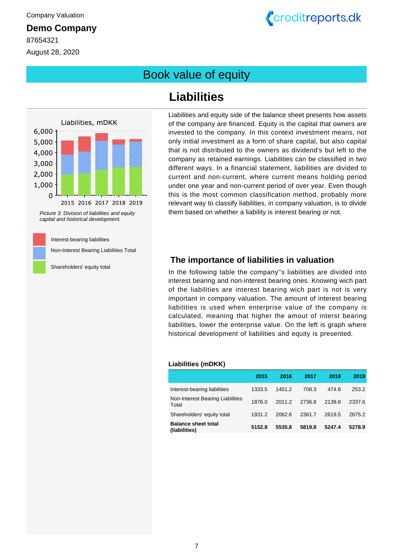87654321 August 28, 2020



# Book value of equity

## Liabilities, mDKK 6,000 5,000 4,000 3,000 2,000 1,000  $\overline{0}$ 2015 2016 2017 2018 2019 Picture 3: Division of liabilities and equity capital and historical development.

Interest-bearing liabilities

Non-Interest Bearing Liabilities Total

Shareholders' equity total

# **Liabilities**

Liabilities and equity side of the balance sheet presents how assets of the company are financed. Equity is the capital that owners are invested to the company. In this context investment means, not only initial investment as a form of share capital, but also capital that is not distributed to the owners as dividend's but left to the company as retained earnings. Liabilities can be classified in two different ways. In a financial statement, liabilities are divided to current and non-current, where current means holding period under one year and non-current period of over year. Even though this is the most common classification method, probably more relevant way to classify liabilities, in company valuation, is to divide them based on whether a liability is interest bearing or not.

#### **The importance of liabilities in valuation**

In the following table the company''s liabilities are divided into interest bearing and non-interest bearing ones. Knowing wich part of the liabilities are interest bearing wich part is not is very important in company valuation. The amount of interest bearing liabilities is used when enterprise value of the company is calculated, meaning that higher the amout of interst bearing liabilities, lower the enterprise value. On the left is graph where historical development of liabilities and equity is presented.

#### **Liabilities (mDKK)**

|                                             | 2015   | 2016   | 2017   | 2018   | 2019   |
|---------------------------------------------|--------|--------|--------|--------|--------|
| Interest-bearing liabilities                | 1333.5 | 1451.2 | 708.3  | 474.8  | 253.2  |
| Non-Interest Bearing Liabilities<br>Total   | 1876.0 | 2011.2 | 2736.8 | 2139.8 | 2337.6 |
| Shareholders' equity total                  | 1931.2 | 2062.6 | 2361.7 | 2619.5 | 2675.2 |
| <b>Balance sheet total</b><br>(liabilities) | 5152.8 | 5535.8 | 5819.8 | 5247.4 | 5278.9 |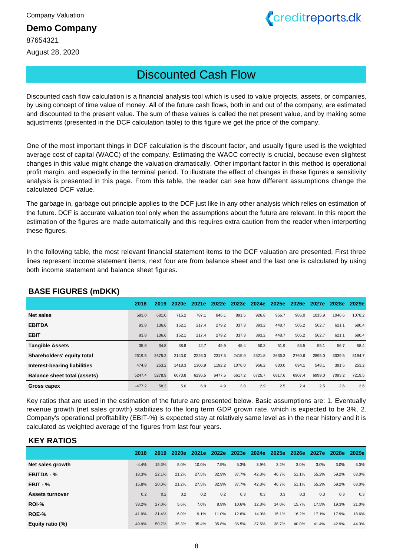87654321 August 28, 2020



# <span id="page-7-0"></span>Discounted Cash Flow

Discounted cash flow calculation is a financial analysis tool which is used to value projects, assets, or companies, by using concept of time value of money. All of the future cash flows, both in and out of the company, are estimated and discounted to the present value. The sum of these values is called the net present value, and by making some adjustments (presented in the DCF calculation table) to this figure we get the price of the company.

One of the most important things in DCF calculation is the discount factor, and usually figure used is the weighted average cost of capital (WACC) of the company. Estimating the WACC correctly is crucial, because even slightest changes in this value might change the valuation dramatically. Other important factor in this method is operational profit margin, and especially in the terminal period. To illustrate the effect of changes in these figures a sensitivity analysis is presented in this page. From this table, the reader can see how different assumptions change the calculated DCF value.

The garbage in, garbage out principle applies to the DCF just like in any other analysis which relies on estimation of the future. DCF is accurate valuation tool only when the assumptions about the future are relevant. In this report the estimation of the figures are made automatically and this requires extra caution from the reader when interperting these figures.

In the following table, the most relevant financial statement items to the DCF valuation are presented. First three lines represent income statement items, next four are from balance sheet and the last one is calculated by using both income statement and balance sheet figures.

| - - - - - - - - -                   |          |        |        |        |        |             |        |        |        |        |        |        |
|-------------------------------------|----------|--------|--------|--------|--------|-------------|--------|--------|--------|--------|--------|--------|
|                                     | 2018     | 2019   | 2020e  | 2021e  | 2022e  | 2023e 2024e |        | 2025e  | 2026e  | 2027e  | 2028e  | 2029e  |
| <b>Net sales</b>                    | 593.0    | 681.0  | 715.2  | 787.1  | 846.1  | 891.5       | 926.8  | 956.7  | 986.0  | 1015.9 | 1046.6 | 1078.2 |
| <b>EBITDA</b>                       | 93.8     | 136.6  | 152.1  | 217.4  | 279.2  | 337.3       | 393.2  | 448.7  | 505.2  | 562.7  | 621.1  | 680.4  |
| <b>EBIT</b>                         | 93.8     | 136.6  | 152.1  | 217.4  | 279.2  | 337.3       | 393.2  | 448.7  | 505.2  | 562.7  | 621.1  | 680.4  |
| <b>Tangible Assets</b>              | 35.6     | 34.8   | 38.8   | 42.7   | 45.9   | 48.4        | 50.3   | 51.9   | 53.5   | 55.1   | 56.7   | 58.4   |
| Shareholders' equity total          | 2619.5   | 2675.2 | 2143.0 | 2226.0 | 2317.5 | 2415.9      | 2521.8 | 2636.3 | 2760.6 | 2895.0 | 3039.5 | 3194.7 |
| Interest-bearing liabilities        | 474.8    | 253.2  | 1418.3 | 1306.9 | 1192.2 | 1076.0      | 956.2  | 830.0  | 694.1  | 548.1  | 391.5  | 253.2  |
| <b>Balance sheet total (assets)</b> | 5247.4   | 5278.9 | 6073.8 | 6295.5 | 6477.5 | 6617.2      | 6725.7 | 6817.6 | 6907.4 | 6999.0 | 7093.2 | 7219.5 |
| Gross capex                         | $-477.2$ | 58.3   | 5.0    | 6.0    | 4.9    | 3.8         | 2.9    | 2.5    | 2.4    | 2.5    | 2.6    | 2.6    |

#### **BASE FIGURES (mDKK)**

Key ratios that are used in the estimation of the future are presented below. Basic assumptions are: 1. Eventually revenue growth (net sales growth) stabilizes to the long term GDP grown rate, which is expected to be 3%. 2. Company's operational profitability (EBIT-%) is expected stay at relatively same level as in the near history and it is calculated as weighted average of the figures from last four years.

#### **KEY RATIOS**

|                        | 2018    | 2019  | 2020e | 2021e | 2022e |       | 2023e 2024e | 2025e | 2026e | 2027e | 2028e | 2029e |
|------------------------|---------|-------|-------|-------|-------|-------|-------------|-------|-------|-------|-------|-------|
| Net sales growth       | $-4.4%$ | 15.3% | 5.0%  | 10.0% | 7.5%  | 5.3%  | 3.9%        | 3.2%  | 3.0%  | 3.0%  | 3.0%  | 3.0%  |
| EBITDA - %             | 18.3%   | 22.1% | 21.2% | 27.5% | 32.9% | 37.7% | 42.3%       | 46.7% | 51.1% | 55.2% | 59.2% | 63.0% |
| $EBIT - %$             | 15.8%   | 20.0% | 21.2% | 27.5% | 32.9% | 37.7% | 42.3%       | 46.7% | 51.1% | 55.2% | 59.2% | 63.0% |
| <b>Assets turnover</b> | 0.2     | 0.2   | 0.2   | 0.2   | 0.2   | 0.3   | 0.3         | 0.3   | 0.3   | 0.3   | 0.3   | 0.3   |
| ROI-%                  | 33.2%   | 27.0% | 5.6%  | 7.0%  | 8.9%  | 10.6% | 12.3%       | 14.0% | 15.7% | 17.5% | 19.3% | 21.0% |
| ROE-%                  | 41.9%   | 31.4% | 6.0%  | 9.1%  | 11.0% | 12.6% | 14.0%       | 15.1% | 16.2% | 17.1% | 17.9% | 18.6% |
| Equity ratio (%)       | 49.9%   | 50.7% | 35.3% | 35.4% | 35.8% | 36.5% | 37.5%       | 38.7% | 40.0% | 41.4% | 42.9% | 44.3% |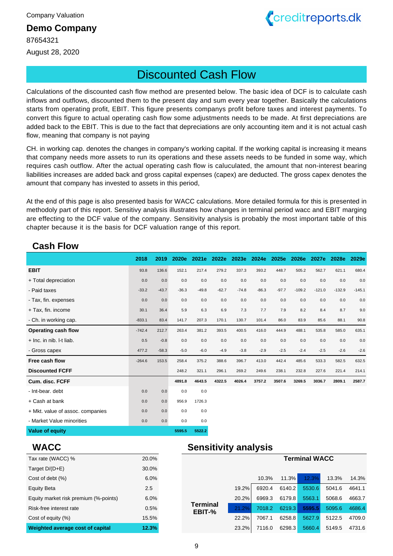87654321

August 28, 2020



# Discounted Cash Flow

Calculations of the discounted cash flow method are presented below. The basic idea of DCF is to calculate cash inflows and outflows, discounted them to the present day and sum every year together. Basically the calculations starts from operating profit, EBIT. This figure presents companys profit before taxes and interest payments. To convert this figure to actual operating cash flow some adjustments needs to be made. At first depreciations are added back to the EBIT. This is due to the fact that depreciations are only accounting item and it is not actual cash flow, meaning that company is not paying

CH. in working cap. denotes the changes in company's working capital. If the working capital is increasing it means that company needs more assets to run its operations and these assets needs to be funded in some way, which requires cash outflow. After the actual operating cash flow is caluculated, the amount that non-interest bearing liabilities increases are added back and gross capital expenses (capex) are deducted. The gross capex denotes the amount that company has invested to assets in this period,

At the end of this page is also presented basis for WACC calculations. More detailed formula for this is presented in methodoly part of this report. Sensitivy analysis illustrates how changes in terminal period wacc and EBIT marging are effecting to the DCF value of the company. Sensitivity analysis is probably the most important table of this chapter because it is the basis for DCF valuation range of this report.

#### **Cash Flow**

|                                  | 2018     | 2019    | 2020e   | 2021e   | 2022e   | 2023e   | 2024e   | 2025e   | 2026e    | 2027e    | 2028e    | 2029e    |
|----------------------------------|----------|---------|---------|---------|---------|---------|---------|---------|----------|----------|----------|----------|
| <b>EBIT</b>                      | 93.8     | 136.6   | 152.1   | 217.4   | 279.2   | 337.3   | 393.2   | 448.7   | 505.2    | 562.7    | 621.1    | 680.4    |
| + Total depreciation             | 0.0      | 0.0     | 0.0     | 0.0     | 0.0     | 0.0     | 0.0     | 0.0     | 0.0      | 0.0      | 0.0      | 0.0      |
| - Paid taxes                     | $-33.2$  | $-43.7$ | $-36.3$ | $-49.8$ | $-62.7$ | $-74.8$ | $-86.3$ | $-97.7$ | $-109.2$ | $-121.0$ | $-132.9$ | $-145.1$ |
| - Tax, fin. expenses             | 0.0      | 0.0     | 0.0     | 0.0     | 0.0     | $0.0\,$ | $0.0\,$ | 0.0     | 0.0      | 0.0      | 0.0      | 0.0      |
| + Tax, fin. income               | 30.1     | 36.4    | 5.9     | 6.3     | 6.9     | 7.3     | 7.7     | 7.9     | 8.2      | 8.4      | 8.7      | 9.0      |
| - Ch. in working cap.            | $-833.1$ | 83.4    | 141.7   | 207.3   | 170.1   | 130.7   | 101.4   | 86.0    | 83.9     | 85.6     | 88.1     | 90.8     |
| Operating cash flow              | $-742.4$ | 212.7   | 263.4   | 381.2   | 393.5   | 400.5   | 416.0   | 444.9   | 488.1    | 535.8    | 585.0    | 635.1    |
| + Inc. in nib. I-t liab.         | 0.5      | $-0.8$  | 0.0     | 0.0     | 0.0     | $0.0\,$ | $0.0\,$ | $0.0\,$ | 0.0      | 0.0      | 0.0      | 0.0      |
| - Gross capex                    | 477.2    | $-58.3$ | $-5.0$  | $-6.0$  | $-4.9$  | $-3.8$  | $-2.9$  | $-2.5$  | $-2.4$   | $-2.5$   | $-2.6$   | $-2.6$   |
| Free cash flow                   | $-264.6$ | 153.5   | 258.4   | 375.2   | 388.6   | 396.7   | 413.0   | 442.4   | 485.6    | 533.3    | 582.5    | 632.5    |
| <b>Discounted FCFF</b>           |          |         | 248.2   | 321.1   | 296.1   | 269.2   | 249.6   | 238.1   | 232.8    | 227.6    | 221.4    | 214.1    |
| Cum. disc. FCFF                  |          |         | 4891.8  | 4643.5  | 4322.5  | 4026.4  | 3757.2  | 3507.6  | 3269.5   | 3036.7   | 2809.1   | 2587.7   |
| - Int-bear. debt                 | 0.0      | 0.0     | 0.0     | 0.0     |         |         |         |         |          |          |          |          |
| + Cash at bank                   | 0.0      | 0.0     | 956.9   | 1726.3  |         |         |         |         |          |          |          |          |
| + Mkt. value of assoc. companies | 0.0      | 0.0     | 0.0     | 0.0     |         |         |         |         |          |          |          |          |
| - Market Value minorities        | 0.0      | 0.0     | 0.0     | 0.0     |         |         |         |         |          |          |          |          |
| <b>Value of equity</b>           |          |         | 5595.5  | 5522.2  |         |         |         |         |          |          |          |          |

#### **WACC**

| Tax rate (WACC) %                     | 20.0% |
|---------------------------------------|-------|
| Target $D/(D+E)$                      | 30.0% |
| Cost of debt (%)                      | 6.0%  |
| <b>Equity Beta</b>                    | 2.5   |
| Equity market risk premium (%-points) | 6.0%  |
| Risk-free interest rate               | 0.5%  |
| Cost of equity (%)                    | 15.5% |
| Weighted average cost of capital      | 12.3% |

## **Sensitivity analysis**

| 30.0% |                           |       |        |        |        |        |        |
|-------|---------------------------|-------|--------|--------|--------|--------|--------|
| 6.0%  |                           |       | 10.3%  | 11.3%  | 12.3%  | 13.3%  | 14.3%  |
| 2.5   |                           | 19.2% | 6920.4 | 6140.2 | 5530.6 | 5041.6 | 4641.1 |
| 6.0%  |                           | 20.2% | 6969.3 | 6179.8 | 5563.1 | 5068.6 | 4663.7 |
| 0.5%  | <b>Terminal</b><br>EBIT-% | 21.2% | 7018.2 | 6219.3 | 5595.5 | 5095.6 | 4686.4 |
| 15.5% |                           | 22.2% | 7067.1 | 6258.8 | 5627.9 | 5122.5 | 4709.0 |
| 12.3% |                           | 23.2% | 7116.0 | 6298.3 | 5660.4 | 5149.5 | 4731.6 |

**Terminal WACC**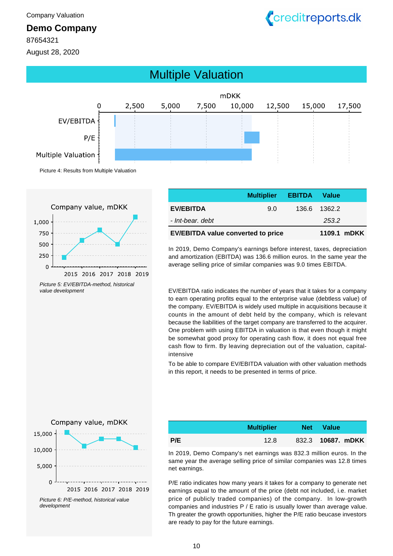<span id="page-9-0"></span>

87654321

August 28, 2020





Picture 5: EV/EBITDA-method, historical value development

|                                           | <b>Multiplier EBITDA Value</b> |              |  |
|-------------------------------------------|--------------------------------|--------------|--|
| <b>EV/EBITDA</b>                          | 9.0                            | 136.6 1362.2 |  |
| - Int-bear, debt                          |                                | 253.2        |  |
| <b>EV/EBITDA value converted to price</b> | 1109.1 mDKK                    |              |  |

In 2019, Demo Company's earnings before interest, taxes, depreciation and amortization (EBITDA) was 136.6 million euros. In the same year the average selling price of similar companies was 9.0 times EBITDA.

EV/EBITDA ratio indicates the number of years that it takes for a company to earn operating profits equal to the enterprise value (debtless value) of the company. EV/EBITDA is widely used multiple in acquisitions because it counts in the amount of debt held by the company, which is relevant because the liabilities of the target company are transferred to the acquirer. One problem with using EBITDA in valuation is that even though it might be somewhat good proxy for operating cash flow, it does not equal free cash flow to firm. By leaving depreciation out of the valuation, capitalintensive

To be able to compare EV/EBITDA valuation with other valuation methods in this report, it needs to be presented in terms of price.



Picture 6: P/E-method, historical value development

|     | <b>Multiplier</b> | <b>Net</b> | <b>Value</b>             |
|-----|-------------------|------------|--------------------------|
| P/E | 12.8              |            | 832.3 <b>10687. mDKK</b> |

In 2019, Demo Company's net earnings was 832.3 million euros. In the same year the average selling price of similar companies was 12.8 times net earnings.

P/E ratio indicates how many years it takes for a company to generate net earnings equal to the amount of the price (debt not included, i.e. market price of publicly traded companies) of the company. In low-growth companies and industries P / E ratio is usually lower than average value. Th greater the growth opportunities, higher the P/E ratio beucase investors are ready to pay for the future earnings.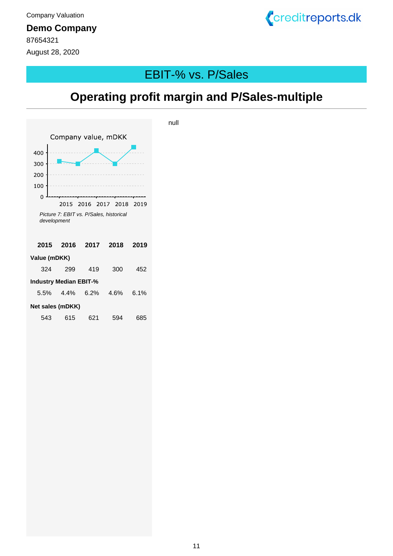87654321 August 28, 2020



# <span id="page-10-0"></span>EBIT-% vs. P/Sales

# **Operating profit margin and P/Sales-multiple**

null



11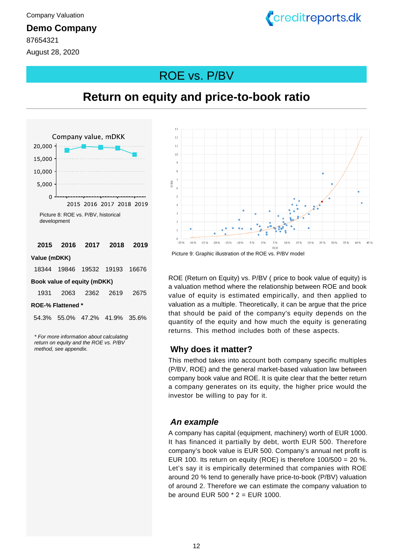87654321 August 28, 2020



# <span id="page-11-0"></span>ROE vs. P/BV

**Return on equity and price-to-book ratio**

## Company value, mDKK 20,000 15,000 10,000 5,000  $\overline{0}$ 2015 2016 2017 2018 2019 Picture 8: ROE vs. P/BV, historical development **2015 2016 2017 2018 2019 Value (mDKK)** 18344 19846 19532 19193 16676 **Book value of equity (mDKK)** 1931 2063 2362 2619 2675 **ROE-% Flattened \*** 54.3% 55.0% 47.2% 41.9% 35.6%

\* For more information about calculating return on equity and the ROE vs. P/BV method, see appendix.



Picture 9: Graphic illustration of the ROE vs. P/BV model

ROE (Return on Equity) vs. P/BV ( price to book value of equity) is a valuation method where the relationship between ROE and book value of equity is estimated empirically, and then applied to valuation as a multiple. Theoretically, it can be argue that the price that should be paid of the company's equity depends on the quantity of the equity and how much the equity is generating returns. This method includes both of these aspects.

#### **Why does it matter?**

This method takes into account both company specific multiples (P/BV, ROE) and the general market-based valuation law between company book value and ROE. It is quite clear that the better return a company generates on its equity, the higher price would the investor be willing to pay for it.

#### **An example**

A company has capital (equipment, machinery) worth of EUR 1000. It has financed it partially by debt, worth EUR 500. Therefore company's book value is EUR 500. Company's annual net profit is EUR 100. Its return on equity (ROE) is therefore  $100/500 = 20$  %. Let's say it is empirically determined that companies with ROE around 20 % tend to generally have price-to-book (P/BV) valuation of around 2. Therefore we can estimate the company valuation to be around EUR 500  $*$  2 = EUR 1000.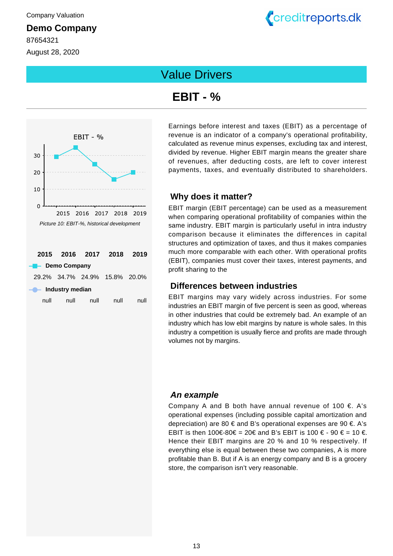87654321 August 28, 2020



# <span id="page-12-0"></span>Value Drivers

# **EBIT - %**



Earnings before interest and taxes (EBIT) as a percentage of revenue is an indicator of a company's operational profitability, calculated as revenue minus expenses, excluding tax and interest, divided by revenue. Higher EBIT margin means the greater share of revenues, after deducting costs, are left to cover interest payments, taxes, and eventually distributed to shareholders.

#### **Why does it matter?**

EBIT margin (EBIT percentage) can be used as a measurement when comparing operational profitability of companies within the same industry. EBIT margin is particularly useful in intra industry comparison because it eliminates the differences in capital structures and optimization of taxes, and thus it makes companies much more comparable with each other. With operational profits (EBIT), companies must cover their taxes, interest payments, and profit sharing to the

#### **Differences between industries**

EBIT margins may vary widely across industries. For some industries an EBIT margin of five percent is seen as good, whereas in other industries that could be extremely bad. An example of an industry which has low ebit margins by nature is whole sales. In this industry a competition is usually fierce and profits are made through volumes not by margins.

#### **An example**

Company A and B both have annual revenue of 100  $\epsilon$ . A's operational expenses (including possible capital amortization and depreciation) are 80  $\epsilon$  and B's operational expenses are 90  $\epsilon$ . A's EBIT is then 100€-80€ = 20€ and B's EBIT is 100 € - 90 € = 10 €. Hence their EBIT margins are 20 % and 10 % respectively. If everything else is equal between these two companies, A is more profitable than B. But if A is an energy company and B is a grocery store, the comparison isn't very reasonable.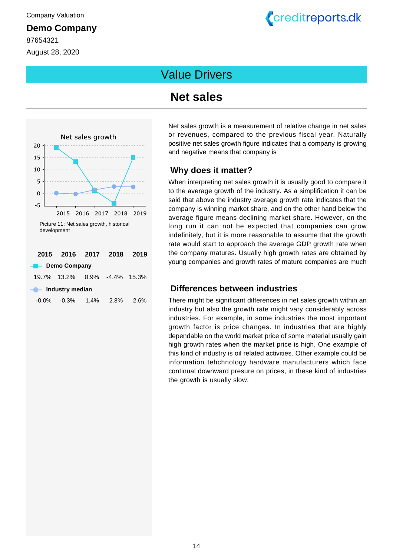87654321 August 28, 2020

# Creditreports.dk

# Value Drivers

# **Net sales**



| $-0.0\%$ | $-0.3%$ | $1.4\%$ | 2.8% | 2.6% |
|----------|---------|---------|------|------|
|          |         |         |      |      |

Net sales growth is a measurement of relative change in net sales or revenues, compared to the previous fiscal year. Naturally positive net sales growth figure indicates that a company is growing and negative means that company is

#### **Why does it matter?**

When interpreting net sales growth it is usually good to compare it to the average growth of the industry. As a simplification it can be said that above the industry average growth rate indicates that the company is winning market share, and on the other hand below the average figure means declining market share. However, on the long run it can not be expected that companies can grow indefinitely, but it is more reasonable to assume that the growth rate would start to approach the average GDP growth rate when the company matures. Usually high growth rates are obtained by young companies and growth rates of mature companies are much

#### **Differences between industries**

There might be significant differences in net sales growth within an industry but also the growth rate might vary considerably across industries. For example, in some industries the most important growth factor is price changes. In industries that are highly dependable on the world market price of some material usually gain high growth rates when the market price is high. One example of this kind of industry is oil related activities. Other example could be information tehchnology hardware manufacturers which face continual downward presure on prices, in these kind of industries the growth is usually slow.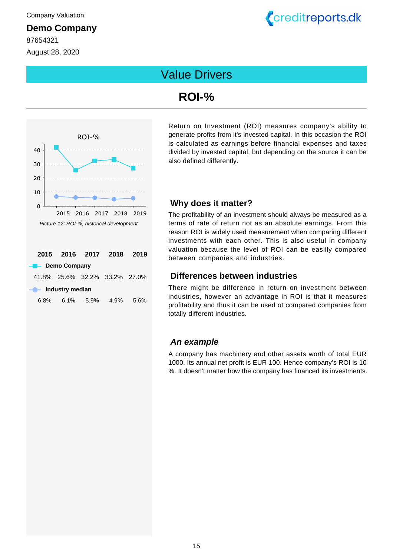87654321 August 28, 2020



# Value Drivers

# **ROI-%**



Return on Investment (ROI) measures company's ability to generate profits from it's invested capital. In this occasion the ROI is calculated as earnings before financial expenses and taxes divided by invested capital, but depending on the source it can be also defined differently.

#### **Why does it matter?**

The profitability of an investment should always be measured as a terms of rate of return not as an absolute earnings. From this reason ROI is widely used measurement when comparing different investments with each other. This is also useful in company valuation because the level of ROI can be easilly compared between companies and industries.

#### **Differences between industries**

There might be difference in return on investment between industries, however an advantage in ROI is that it measures profitability and thus it can be used ot compared companies from totally different industries.

#### **An example**

A company has machinery and other assets worth of total EUR 1000. Its annual net profit is EUR 100. Hence company's ROI is 10 %. It doesn't matter how the company has financed its investments.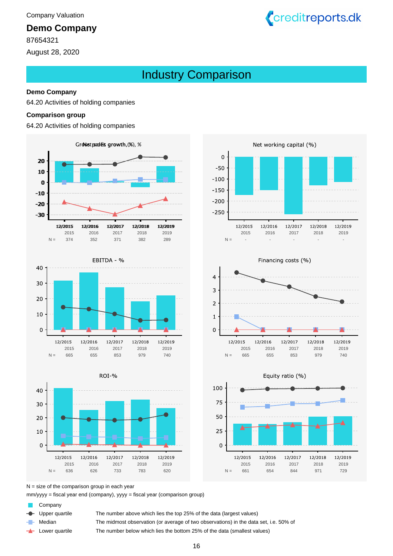87654321

August 28, 2020

# <span id="page-15-0"></span>Industry Comparison

#### **Demo Company**

64.20 Activities of holding companies

#### **Comparison group**

64.20 Activities of holding companies











Creditreports.dk





665- 655- 853- 979- -

N = 665 655 853 979 740

 $N =$  size of the comparison group in each year

mm/yyyy = fiscal year end (company), yyyy = fiscal year (comparison group)

Company

a.

Upper quartile The number above which lies the top 25% of the data (largest values)

Median The midmost observation (or average of two observations) in the data set, i.e. 50% of

Lower quartile ∸

The number below which lies the bottom 25% of the data (smallest values)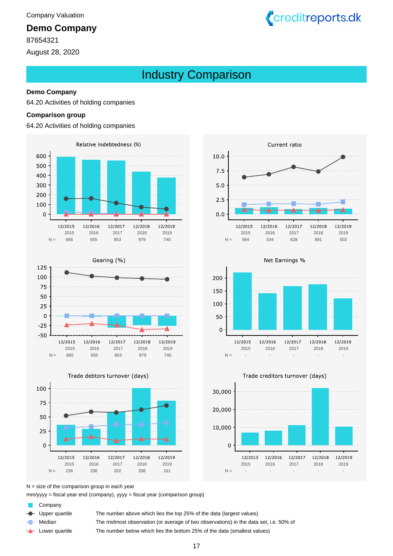87654321

August 28, 2020

# Industry Comparison

#### **Demo Company**

64.20 Activities of holding companies

#### **Comparison group**

64.20 Activities of holding companies









Creditreports.dk







 $N =$  size of the comparison group in each year

mm/yyyy = fiscal year end (company), yyyy = fiscal year (comparison group)

Company

Upper quartile The number above which lies the top 25% of the data (largest values)

Median The midmost observation (or average of two observations) in the data set, i.e. 50% of

Lower quartile ∸

The number below which lies the bottom 25% of the data (smallest values)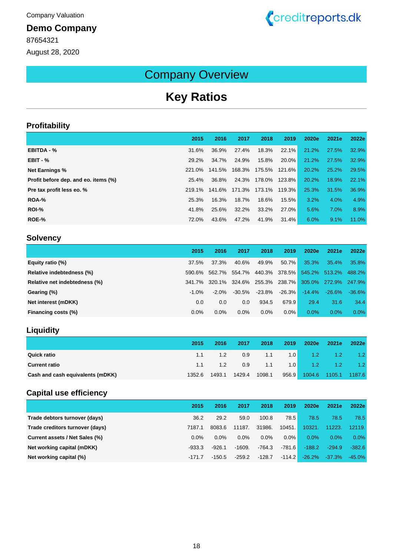87654321 August 28, 2020



# Company Overview

# <span id="page-17-0"></span>**Key Ratios**

#### **Profitability**

|                                      | 2015   | 2016   | 2017   | 2018          | 2019     | 2020e | 2021e | 2022e |
|--------------------------------------|--------|--------|--------|---------------|----------|-------|-------|-------|
| EBITDA - %                           | 31.6%  | 36.9%  | 27.4%  | 18.3%         | $22.1\%$ | 21.2% | 27.5% | 32.9% |
| $EBIT - %$                           | 29.2%  | 34.7%  | 24.9%  | 15.8%         | $20.0\%$ | 21.2% | 27.5% | 32.9% |
| <b>Net Earnings %</b>                | 221.0% | 141.5% | 168.3% | 175.5% 121.6% |          | 20.2% | 25.2% | 29.5% |
| Profit before dep. and eo. items (%) | 25.4%  | 36.8%  | 24.3%  | 178.0% 123.8% |          | 20.2% | 18.9% | 22.1% |
| Pre tax profit less eo. %            | 219.1% | 141.6% | 171.3% | 173.1% 119.3% |          | 25.3% | 31.5% | 36.9% |
| ROA-%                                | 25.3%  | 16.3%  | 18.7%  | 18.6%         | 15.5%    | 3.2%  | 4.0%  | 4.9%  |
| <b>ROI-%</b>                         | 41.8%  | 25.6%  | 32.2%  | 33.2%         | 27.0%    | 5.6%  | 7.0%  | 8.9%  |
| ROE-%                                | 72.0%  | 43.6%  | 47.2%  | 41.9%         | 31.4%    | 6.0%  | 9.1%  | 11.0% |

#### **Solvency**

|                               | 2015     | 2016     | 2017      | 2018          | 2019          | 2020e     | 2021e                | 2022e     |
|-------------------------------|----------|----------|-----------|---------------|---------------|-----------|----------------------|-----------|
| Equity ratio (%)              | 37.5%    | 37.3%    | 40.6%     | 49.9%         | 50.7%         | 35.3%     | $35.4\%$             | 35.8%     |
| Relative indebtedness (%)     | 590.6%   | 562.7%   | 554.7%    |               | 440.3% 378.5% | 545.2%    | 513.2%               | 488.2%    |
| Relative net indebtedness (%) | 341.7%   | 320.1%   | 324.6%    | 255.3% 238.7% |               |           | 305.0% 272.9% 247.9% |           |
| Gearing (%)                   | $-1.0\%$ | $-2.0\%$ | $-30.5\%$ | $-23.8\%$     | $-26.3\%$     | $-14.4\%$ | $-26.6\%$            | $-36.6\%$ |
| Net interest (mDKK)           | 0.0      | 0.0      | 0.0       | 934.5         | 679.9         | 29.4      | 31.6                 | 34.4      |
| Financing costs (%)           | $0.0\%$  | 0.0%     | $0.0\%$   | 0.0%          | $0.0\%$       | 0.0%      | 0.0%                 | 0.0%      |

## **Liquidity**

|                                  | 2015   | 2016   | 2017   | 2018   | 2019 | 2020e                      | 2021e | 2022e       |
|----------------------------------|--------|--------|--------|--------|------|----------------------------|-------|-------------|
| <b>Quick ratio</b>               | 1.1    | 1.2    | 0.9    | 1.1    |      | $1.0$ $1.2$                |       | $1.2$ $1.2$ |
| <b>Current ratio</b>             | 1.1    | 1.2    | 0.9    | 1.1    |      | $1.0$ $1.2$                |       | $1.2$ $1.2$ |
| Cash and cash equivalents (mDKK) | 1352.6 | 1493.1 | 1429.4 | 1098.1 |      | 956.9 1004.6 1105.1 1187.6 |       |             |

#### **Capital use efficiency**

|                                 | 2015     | 2016     | 2017     | 2018     | 2019     | 2020e     | 2021e    | 2022e     |
|---------------------------------|----------|----------|----------|----------|----------|-----------|----------|-----------|
| Trade debtors turnover (days)   | 36.2     | 29.2     | 59.0     | 100.8    | 78.5     | 78.5      | 78.5     | 78.5      |
| Trade creditors turnover (days) | 7187.1   | 8083.6   | 11187.   | 31986.   | 10451.   | 10321.    | 11223.   | 12119.    |
| Current assets / Net Sales (%)  | $0.0\%$  | $0.0\%$  | $0.0\%$  | $0.0\%$  | 0.0%     | 0.0%      | $0.0\%$  | 0.0%      |
| Net working capital (mDKK)      | $-933.3$ | $-926.1$ | $-1609.$ | -764.3   | $-781.6$ | $-188.2$  | $-294.9$ | $-382.6$  |
| Net working capital (%)         | $-171.7$ | $-150.5$ | $-259.2$ | $-128.7$ | $-114.2$ | $-26.2\%$ | $-37.3%$ | $-45.0\%$ |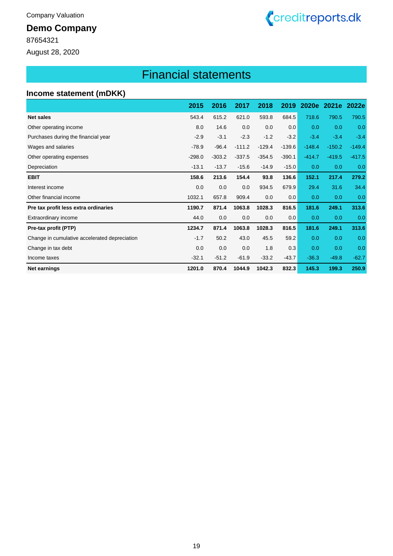87654321

August 28, 2020

# <span id="page-18-0"></span>Financial statements

Creditreports.dk

#### **Income statement (mDKK)**

|                                               | 2015     | 2016     | 2017     | 2018     | 2019     | 2020e    | 2021e    | 2022e    |
|-----------------------------------------------|----------|----------|----------|----------|----------|----------|----------|----------|
| <b>Net sales</b>                              | 543.4    | 615.2    | 621.0    | 593.8    | 684.5    | 718.6    | 790.5    | 790.5    |
| Other operating income                        | 8.0      | 14.6     | 0.0      | 0.0      | 0.0      | 0.0      | 0.0      | 0.0      |
| Purchases during the financial year           | $-2.9$   | $-3.1$   | $-2.3$   | $-1.2$   | $-3.2$   | $-3.4$   | $-3.4$   | $-3.4$   |
| Wages and salaries                            | $-78.9$  | $-96.4$  | $-111.2$ | $-129.4$ | $-139.6$ | $-148.4$ | $-150.2$ | $-149.4$ |
| Other operating expenses                      | $-298.0$ | $-303.2$ | $-337.5$ | $-354.5$ | $-390.1$ | $-414.7$ | $-419.5$ | $-417.5$ |
| Depreciation                                  | $-13.1$  | $-13.7$  | $-15.6$  | $-14.9$  | $-15.0$  | 0.0      | 0.0      | 0.0      |
| <b>EBIT</b>                                   | 158.6    | 213.6    | 154.4    | 93.8     | 136.6    | 152.1    | 217.4    | 279.2    |
| Interest income                               | 0.0      | 0.0      | 0.0      | 934.5    | 679.9    | 29.4     | 31.6     | 34.4     |
| Other financial income                        | 1032.1   | 657.8    | 909.4    | 0.0      | 0.0      | 0.0      | 0.0      | 0.0      |
| Pre tax profit less extra ordinaries          | 1190.7   | 871.4    | 1063.8   | 1028.3   | 816.5    | 181.6    | 249.1    | 313.6    |
| Extraordinary income                          | 44.0     | 0.0      | 0.0      | 0.0      | 0.0      | 0.0      | 0.0      | 0.0      |
| Pre-tax profit (PTP)                          | 1234.7   | 871.4    | 1063.8   | 1028.3   | 816.5    | 181.6    | 249.1    | 313.6    |
| Change in cumulative accelerated depreciation | $-1.7$   | 50.2     | 43.0     | 45.5     | 59.2     | 0.0      | 0.0      | 0.0      |
| Change in tax debt                            | 0.0      | 0.0      | 0.0      | 1.8      | 0.3      | 0.0      | 0.0      | 0.0      |
| Income taxes                                  | $-32.1$  | $-51.2$  | $-61.9$  | $-33.2$  | $-43.7$  | $-36.3$  | $-49.8$  | $-62.7$  |
| <b>Net earnings</b>                           | 1201.0   | 870.4    | 1044.9   | 1042.3   | 832.3    | 145.3    | 199.3    | 250.9    |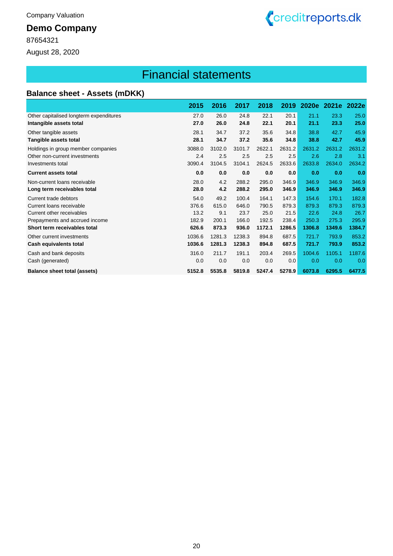87654321

August 28, 2020

# Financial statements

Creditreports.dk

| <b>Balance sheet - Assets (mDKK)</b> |  |  |
|--------------------------------------|--|--|
|--------------------------------------|--|--|

|                                         | 2015   | 2016   | 2017   | 2018   | 2019   | 2020e  | 2021e  | 2022e  |
|-----------------------------------------|--------|--------|--------|--------|--------|--------|--------|--------|
| Other capitalised longterm expenditures | 27.0   | 26.0   | 24.8   | 22.1   | 20.1   | 21.1   | 23.3   | 25.0   |
| Intangible assets total                 | 27.0   | 26.0   | 24.8   | 22.1   | 20.1   | 21.1   | 23.3   | 25.0   |
| Other tangible assets                   | 28.1   | 34.7   | 37.2   | 35.6   | 34.8   | 38.8   | 42.7   | 45.9   |
| Tangible assets total                   | 28.1   | 34.7   | 37.2   | 35.6   | 34.8   | 38.8   | 42.7   | 45.9   |
| Holdings in group member companies      | 3088.0 | 3102.0 | 3101.7 | 2622.1 | 2631.2 | 2631.2 | 2631.2 | 2631.2 |
| Other non-current investments           | 2.4    | 2.5    | 2.5    | 2.5    | 2.5    | 2.6    | 2.8    | 3.1    |
| Investments total                       | 3090.4 | 3104.5 | 3104.1 | 2624.5 | 2633.6 | 2633.8 | 2634.0 | 2634.2 |
| <b>Current assets total</b>             | 0.0    | 0.0    | 0.0    | 0.0    | 0.0    | 0.0    | 0.0    | 0.0    |
| Non-current loans receivable            | 28.0   | 4.2    | 288.2  | 295.0  | 346.9  | 346.9  | 346.9  | 346.9  |
| Long term receivables total             | 28.0   | 4.2    | 288.2  | 295.0  | 346.9  | 346.9  | 346.9  | 346.9  |
| Current trade debtors                   | 54.0   | 49.2   | 100.4  | 164.1  | 147.3  | 154.6  | 170.1  | 182.8  |
| Current loans receivable                | 376.6  | 615.0  | 646.0  | 790.5  | 879.3  | 879.3  | 879.3  | 879.3  |
| Current other receivables               | 13.2   | 9.1    | 23.7   | 25.0   | 21.5   | 22.6   | 24.8   | 26.7   |
| Prepayments and accrued income          | 182.9  | 200.1  | 166.0  | 192.5  | 238.4  | 250.3  | 275.3  | 295.9  |
| Short term receivables total            | 626.6  | 873.3  | 936.0  | 1172.1 | 1286.5 | 1306.8 | 1349.6 | 1384.7 |
| Other current investments               | 1036.6 | 1281.3 | 1238.3 | 894.8  | 687.5  | 721.7  | 793.9  | 853.2  |
| Cash equivalents total                  | 1036.6 | 1281.3 | 1238.3 | 894.8  | 687.5  | 721.7  | 793.9  | 853.2  |
| Cash and bank deposits                  | 316.0  | 211.7  | 191.1  | 203.4  | 269.5  | 1004.6 | 1105.1 | 1187.6 |
| Cash (generated)                        | 0.0    | 0.0    | 0.0    | 0.0    | 0.0    | 0.0    | 0.0    | 0.0    |
| <b>Balance sheet total (assets)</b>     | 5152.8 | 5535.8 | 5819.8 | 5247.4 | 5278.9 | 6073.8 | 6295.5 | 6477.5 |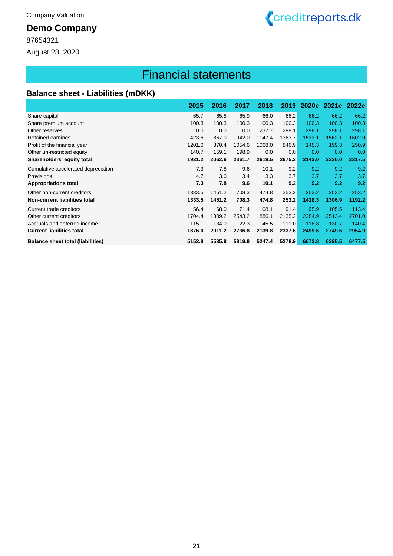87654321

August 28, 2020

# Financial statements

Creditreports.dk

## **Balance sheet - Liabilities (mDKK)**

|                                          | 2015   | 2016   | 2017   | 2018   | 2019   | <b>2020e</b> | 2021e  | 2022e  |
|------------------------------------------|--------|--------|--------|--------|--------|--------------|--------|--------|
| Share capital                            | 65.7   | 65.8   | 65.9   | 66.0   | 66.2   | 66.2         | 66.2   | 66.2   |
| Share premium account                    | 100.3  | 100.3  | 100.3  | 100.3  | 100.3  | 100.3        | 100.3  | 100.3  |
| Other reserves                           | 0.0    | 0.0    | 0.0    | 237.7  | 298.1  | 298.1        | 298.1  | 298.1  |
| Retained earnings                        | 423.6  | 867.0  | 942.0  | 1147.4 | 1363.7 | 1533.1       | 1562.1 | 1602.0 |
| Profit of the financial year             | 1201.0 | 870.4  | 1054.6 | 1068.0 | 846.9  | 145.3        | 199.3  | 250.9  |
| Other un-restricted equity               | 140.7  | 159.1  | 198.9  | 0.0    | 0.0    | 0.0          | 0.0    | 0.0    |
| Shareholders' equity total               | 1931.2 | 2062.6 | 2361.7 | 2619.5 | 2675.2 | 2143.0       | 2226.0 | 2317.5 |
| Cumulative accelerated depreciation      | 7.3    | 7.8    | 9.6    | 10.1   | 9.2    | 9.2          | 9.2    | 9.2    |
| Provisions                               | 4.7    | 3.0    | 3.4    | 3.3    | 3.7    | 3.7          | 3.7    | 3.7    |
| <b>Appropriations total</b>              | 7.3    | 7.8    | 9.6    | 10.1   | 9.2    | 9.2          | 9.2    | 9.2    |
| Other non-current creditors              | 1333.5 | 1451.2 | 708.3  | 474.8  | 253.2  | 253.2        | 253.2  | 253.2  |
| Non-current liabilities total            | 1333.5 | 1451.2 | 708.3  | 474.8  | 253.2  | 1418.3       | 1306.9 | 1192.2 |
| Current trade creditors                  | 56.4   | 68.0   | 71.4   | 108.1  | 91.4   | 95.9         | 105.5  | 113.4  |
| Other current creditors                  | 1704.4 | 1809.2 | 2543.2 | 1886.1 | 2135.2 | 2284.9       | 2513.4 | 2701.0 |
| Accruals and deferred income             | 115.1  | 134.0  | 122.3  | 145.5  | 111.0  | 118.8        | 130.7  | 140.4  |
| <b>Current liabilities total</b>         | 1876.0 | 2011.2 | 2736.8 | 2139.8 | 2337.6 | 2499.6       | 2749.6 | 2954.9 |
| <b>Balance sheet total (liabilities)</b> | 5152.8 | 5535.8 | 5819.8 | 5247.4 | 5278.9 | 6073.8       | 6295.5 | 6477.5 |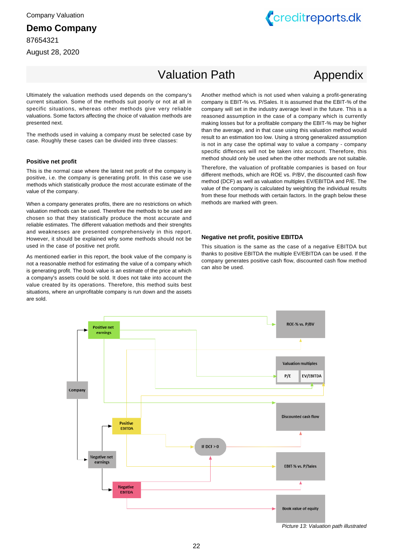87654321

August 28, 2020



# <span id="page-21-0"></span>Valuation Path

# Appendix

Ultimately the valuation methods used depends on the company's current situation. Some of the methods suit poorly or not at all in specific situations, whereas other methods give very reliable valuations. Some factors affecting the choice of valuation methods are presented next.

The methods used in valuing a company must be selected case by case. Roughly these cases can be divided into three classes:

#### **Positive net profit**

This is the normal case where the latest net profit of the company is positive, i.e. the company is generating profit. In this case we use methods which statistically produce the most accurate estimate of the value of the company.

When a company generates profits, there are no restrictions on which valuation methods can be used. Therefore the methods to be used are chosen so that they statistically produce the most accurate and reliable estimates. The different valuation methods and their strenghts and weaknesses are presented comprehensively in this report. However, it should be explained why some methods should not be used in the case of positive net profit.

As mentioned earlier in this report, the book value of the company is not a reasonable method for estimating the value of a company which is generating profit. The book value is an estimate of the price at which a company's assets could be sold. It does not take into account the value created by its operations. Therefore, this method suits best situations, where an unprofitable company is run down and the assets are sold.

Another method which is not used when valuing a profit-generating company is EBIT-% vs. P/Sales. It is assumed that the EBIT-% of the company will set in the industry average level in the future. This is a reasoned assumption in the case of a company which is currently making losses but for a profitable company the EBIT-% may be higher than the average, and in that case using this valuation method would result to an estimation too low. Using a strong generalized assumption is not in any case the optimal way to value a company - company specific diffences will not be taken into account. Therefore, this method should only be used when the other methods are not suitable.

Therefore, the valuation of profitable companies is based on four different methods, which are ROE vs. P/BV, the discounted cash flow method (DCF) as well as valuation multiples EV/EBITDA and P/E. The value of the company is calculated by weighting the individual results from these four methods with certain factors. In the graph below these methods are marked with green.

#### **Negative net profit, positive EBITDA**

This situation is the same as the case of a negative EBITDA but thanks to positive EBITDA the multiple EV/EBITDA can be used. If the company generates positive cash flow, discounted cash flow method can also be used.



Picture 13: Valuation path illustrated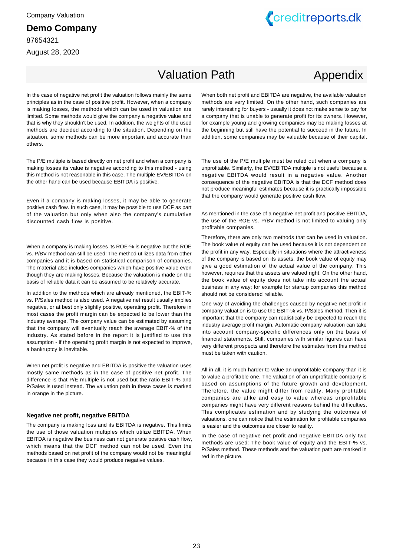87654321 August 28, 2020



# Valuation Path

# Appendix

In the case of negative net profit the valuation follows mainly the same principles as in the case of positive profit. However, when a company is making losses, the methods which can be used in valuation are limited. Some methods would give the company a negative value and that is why they shouldn't be used. In addition, the weights of the used methods are decided according to the situation. Depending on the situation, some methods can be more important and accurate than others.

The P/E multiple is based directly on net profit and when a company is making losses its value is negative according to this method - using this method is not reasonable in this case. The multiple EV/EBITDA on the other hand can be used because EBITDA is positive.

Even if a company is making losses, it may be able to generate positive cash flow. In such case, it may be possible to use DCF as part of the valuation but only when also the company's cumulative discounted cash flow is positive.

When a company is making losses its ROE-% is negative but the ROE vs. P/BV method can still be used: The method utilizes data from other companies and it is based on statistical comparison of companies. The material also includes companies which have positive value even though they are making losses. Because the valuation is made on the basis of reliable data it can be assumed to be relatively accurate.

In addition to the methods which are already mentioned, the EBIT-% vs. P/Sales method is also used. A negative net result usually implies negative, or at best only slightly positive, operating profit. Therefore in most cases the profit margin can be expected to be lower than the industry average. The company value can be estimated by assuming that the company will eventually reach the average EBIT-% of the industry. As stated before in the report it is justified to use this assumption - if the operating profit margin is not expected to improve, a bankruptcy is inevitable.

When net profit is negative and EBITDA is positive the valuation uses mostly same methods as in the case of positive net profit. The difference is that P/E multiple is not used but the ratio EBIT-% and P/Sales is used instead. The valuation path in these cases is marked in orange in the picture.

#### **Negative net profit, negative EBITDA**

The company is making loss and its EBITDA is negative. This limits the use of those valuation multiples which utilize EBITDA. When EBITDA is negative the business can not generate positive cash flow, which means that the DCF method can not be used. Even the methods based on net profit of the company would not be meaningful because in this case they would produce negative values.

When both net profit and EBITDA are negative, the available valuation methods are very limited. On the other hand, such companies are rarely interesting for buyers - usually it does not make sense to pay for a company that is unable to generate profit for its owners. However, for example young and growing companies may be making losses at the beginning but still have the potential to succeed in the future. In addition, some companies may be valuable because of their capital.

The use of the P/E multiple must be ruled out when a company is unprofitable. Similarly, the EV/EBITDA multiple is not useful because a negative EBITDA would result in a negative value. Another consequence of the negative EBITDA is that the DCF method does not produce meaningful estimates because it is practically impossible that the company would generate positive cash flow.

As mentioned in the case of a negative net profit and positive EBITDA, the use of the ROE vs. P/BV method is not limited to valuing only profitable companies.

Therefore, there are only two methods that can be used in valuation. The book value of equity can be used because it is not dependent on the profit in any way. Especially in situations where the attractiveness of the company is based on its assets, the book value of equity may give a good estimation of the actual value of the company. This however, requires that the assets are valued right. On the other hand, the book value of equity does not take into account the actual business in any way; for example for startup companies this method should not be considered reliable.

One way of avoiding the challenges caused by negative net profit in company valuation is to use the EBIT-% vs. P/Sales method. Then it is important that the company can realistically be expected to reach the industry average profit margin. Automatic company valuation can take into account company-specific differences only on the basis of financial statements. Still, companies with similar figures can have very different prospects and therefore the estimates from this method must be taken with caution.

All in all, it is much harder to value an unprofitable company than it is to value a profitable one. The valuation of an unprofitable company is based on assumptions of the future growth and development. Therefore, the value might differ from reality. Many profitable companies are alike and easy to value whereas unprofitable companies might have very different reasons behind the difficulties. This complicates estimation and by studying the outcomes of valuations, one can notice that the estimation for profitable companies is easier and the outcomes are closer to reality.

In the case of negative net profit and negative EBITDA only two methods are used: The book value of equity and the EBIT-% vs. P/Sales method. These methods and the valuation path are marked in red in the picture.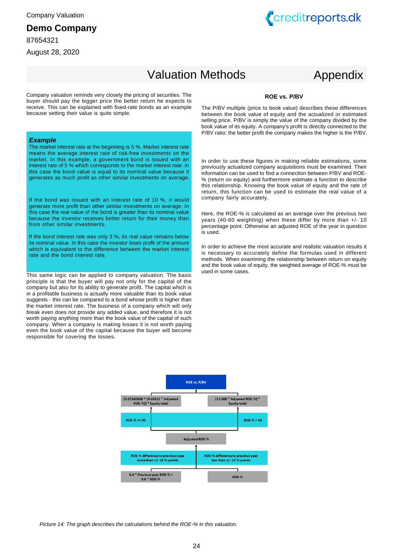#### **Demo Company**

87654321

August 28, 2020



# Valuation Methods

# Appendix

Company valuation reminds very closely the pricing of securities. The buyer should pay the bigger price the better return he expects to receive. This can be explained with fixed-rate bonds as an example because setting their value is quite simple.

#### **Example**

The market interest rate at the beginning is 5 %. Market interest rate means the average interest rate of risk-free investments on the market. In this example, a government bond is issued with an interest rate of 5 % which corresponds to the market interest rate. In this case the bond value is equal to its nominal value because it generates as much profit as other similar investments on average.

If the bond was issued with an interest rate of 10 %, it would generate more profit than other similar investments on average. In this case the real value of the bond is greater than its nominal value because the investor receives better return for their money than from other similar investments.

If the bond interest rate was only 3 %, its real value remains below its nominal value. In this case the investor loses profit of the amount which is equivalent to the difference between the market interest rate and the bond interest rate.

This same logic can be applied to company valuation. The basic principle is that the buyer will pay not only for the capital of the company but also for its ability to generate profit. The capital which is in a profitable business is actually more valuable than its book value suggests - this can be compared to a bond whose profit is higher than the market interest rate. The business of a company which will only break even does not provide any added value, and therefore it is not worth paying anything more than the book value of the capital of such company. When a company is making losses it is not worth paying even the book value of the capital because the buyer will become responsible for covering the losses.

#### **ROE vs. P/BV**

The P/BV multiple (price to book value) describes these differences between the book value of equity and the actualized or estimated selling price. P/BV is simply the value of the company divided by the book value of its equity. A company's profit is directly connected to the P/BV ratio: the better profit the company makes the higher is the P/BV.

In order to use these figures in making reliable estimations, some previously actualized company acquisitions must be examined. Their information can be used to find a connection between P/BV and ROE- % (return on equity) and furthermore estimate a function to describe this relationship. Knowing the book value of equity and the rate of return, this function can be used to estimate the real value of a company fairly accurately.

Here, the ROE-% is calculated as an average over the previous two years (40-60 weighting) when these differ by more than +/- 10 percentage point. Otherwise an adjusted ROE of the year in question is used.

In order to achieve the most accurate and realistic valuation results it is necessary to accurately define the formulas used in different methods. When examining the relationship between return on equity and the book value of equity, the weighted average of ROE-% must be used in some cases.



Picture 14: The graph describes the calculations behind the ROE-% in this valuation.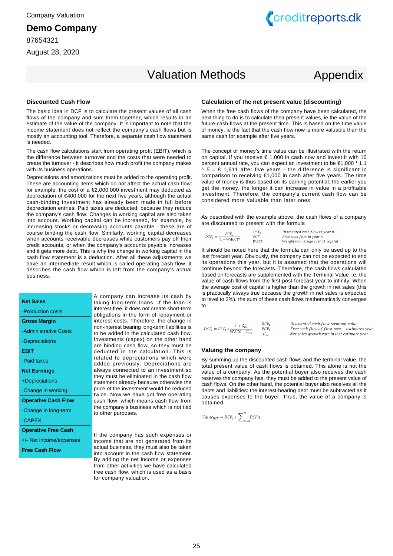87654321

August 28, 2020



# Valuation Methods

# Appendix

#### **Discounted Cash Flow**

The basic idea in DCF is to calculate the present values of all cash flows of the company and sum them together, which results in an estimate of the value of the company. It is important to note that the income statement does not reflect the company's cash flows but is mostly an accounting tool. Therefore, a separate cash flow statement is needed.

The cash flow calculations start from operating profit (EBIT), which is the difference between turnover and the costs that were needed to create the turnover - it describes how much profit the company makes with its business operations.

Depreciations and amortizations must be added to the operating profit. These are accounting items which do not affect the actual cash flow: for example, the cost of a €2,000,000 investment may deducted as depreciation of €400,000 for the next five years, although the actual cash-binding investment has already been made in full before depreciation entries. Paid taxes are deducted, because they reduce the company's cash flow. Changes in working capital are also taken into account. Working capital can be increased, for example, by increasing stocks or decreasing accounts payable - these are of course binding the cash flow. Similarly, working capital decreases when accounts receivable decreases while customers pay off their credit accounts, or when the company's accounts payable increases and it gets more debt. This is why the change in working capital in the cash flow statement is a deduction. After all these adjustments we have an intermediate result which is called operating cash flow: it describes the cash flow which is left from the company's actual business.

| <b>Net Sales</b>           | A company can increase its cash by<br>taking long-term loans. If the loan is              |
|----------------------------|-------------------------------------------------------------------------------------------|
| -Production costs          | interest-free, it does not create short-term<br>obligations in the form of repayment or   |
| <b>Gross Margin</b>        | interest costs. Therefore, the change in                                                  |
| -Administrative Costs      | non-interest bearing long-term liabilities is<br>to be added in the calculated cash flow. |
| -Depreciations             | Investments (capex) on the other hand                                                     |
| EBIT                       | are binding cash flow, so they must be<br>deducted in the calculation. This is            |
| -Paid taxes                | related to depreciations which were<br>added previously: Depreciations are                |
| <b>Net Earnings</b>        | always connected to an investment so                                                      |
| +Depreciations             | they must be eliminated in the cash flow<br>statement already because otherwise the       |
| -Change in working         | price of the investment would be reduced<br>twice. Now we have got free operating         |
| <b>Operative Cash Flow</b> | cash flow, which means cash flow from                                                     |
| -Change in long-term       | the company's business which is not tied<br>to other purposes.                            |
| -CAPEX                     |                                                                                           |
| <b>Operative Free Cash</b> |                                                                                           |
| +/- Net income/expenses    | If the company has such expenses or<br>income that are not generated from its             |
| <b>Free Cash Flow</b>      | actual business, they must also be taken<br>into account in the cash flow statement.      |
|                            | By adding the net income or expenses<br>from other activities we have calculated          |

free cash flow, which is used as a basis

for company valuation.

#### **Calculation of the net present value (discounting)**

When the free cash flows of the company have been calculated, the next thing to do is to calculate their present values, ie the value of the future cash flows at the present time. This is based on the time value of money, ie the fact that the cash flow now is more valuable than the same cash for example after five years.

The concept of money's time value can be illustrated with the return on capital. If you receive  $\epsilon$  1,000 in cash now and invest it with 10 percent annual rate, you can expect an investment to be €1,000 \* 1.1  $\land$  5 =  $\epsilon$  1,611 after five years - the difference is significant in comparison to receiving €1,000 in cash after five years. The time value of money is thus based on its earning potential: the earlier you get the money, the longer it can increase in value in a profitable investment. Therefore, the company's current cash flow can be considered more valuable than later ones.

As described with the example above, the cash flows of a company are discounted to present with the formula

| $FCE_n$                           | $DCF_n$    | Discounted cash flow in year n   |
|-----------------------------------|------------|----------------------------------|
| $DCF_n = \frac{1}{(1 + WACC)^n},$ | <i>FCF</i> | Free cash flow in year n         |
|                                   | WACC       | Weighted average cost of capital |

It should be noted here that the formula can only be used up to the last forecast year. Obviously, the company can not be expected to end its operations this year, but it is assumed that the operations will continue beyond the forecasts. Therefore, the cash flows calculated based on forecasts are supplemented with the Terminal Value i.e. the value of cash flows from the first post-forecast year to infinity. When the average cost of capital is higher than the growth in net sales (this is practically always true because the growth in net sales is expected to level to 3%), the sum of these cash flows mathematically converges to

| $1+G_{ns}$<br>$DCF_t = FCF_l * \frac{1 + c_{ns}}{WACC - G_{ns}},$ | $DCF_r$  | Discounted cash flow terminal value           |
|-------------------------------------------------------------------|----------|-----------------------------------------------|
|                                                                   | FCF1     | Free cash flow of first post – estimates year |
|                                                                   | $a_{nc}$ | Net sales growth rate in last estimate year   |

#### **Valuing the company**

By summing up the discounted cash flows and the terminal value, the total present value of cash flows is obtained. This alone is not the value of a company. As the potential buyer also receives the cash reserves the company has, they must be added to the present value of cash flows. On the other hand, the potential buyer also receives all the debts and liabilities: the interest-bearing debt must be subtracted as it causes expenses to the buyer. Thus, the value of a company is obtained.

$$
Value_{DCF} = DCF_t + \sum_{i=0}^{N} DCF_n
$$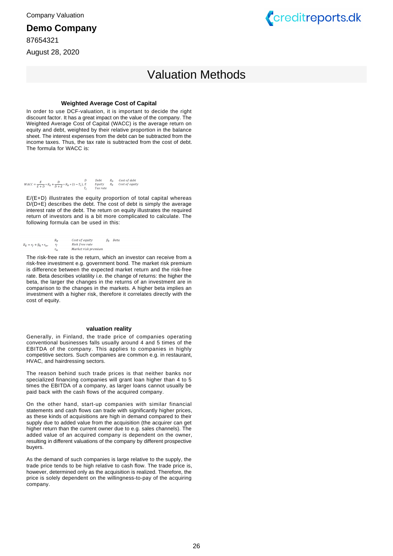#### **Demo Company**

87654321

August 28, 2020



# Valuation Methods

#### **Weighted Average Cost of Capital**

In order to use DCF-valuation, it is important to decide the right discount factor. It has a great impact on the value of the company. The Weighted Average Cost of Capital (WACC) is the average return on equity and debt, weighted by their relative proportion in the balance sheet. The interest expenses from the debt can be subtracted from the income taxes. Thus, the tax rate is subtracted from the cost of debt. The formula for WACC is:

 $WACC=\frac{E}{E+D}*R_E+\frac{D}{D+E}*R_D*(1-T_C),\nonumber\\ \begin{array}{lcccc}D&D&Debt&R_D&Cost\,of\,edebt\\ T_C&F_d&E&Cost\,of\,equity \end{array}$ 

E/(E+D) illustrates the equity proportion of total capital whereas D/(D+E) describes the debt. The cost of debt is simply the average interest rate of the debt. The return on equity illustrates the required return of investors and is a bit more complicated to calculate. The following formula can be used in this:

|                             | Rе  | Cost of equity      | $\beta_F$ | Beta |
|-----------------------------|-----|---------------------|-----------|------|
| $R_E = r_f + \beta_E * r_m$ |     | Risk free rate      |           |      |
|                             | r., | Market risk premium |           |      |

The risk-free rate is the return, which an investor can receive from a risk-free investment e.g. government bond. The market risk premium is difference between the expected market return and the risk-free rate. Beta describes volatility i.e. the change of returns: the higher the beta, the larger the changes in the returns of an investment are in comparison to the changes in the markets. A higher beta implies an investment with a higher risk, therefore it correlates directly with the cost of equity.

#### **valuation reality**

Generally, in Finland, the trade price of companies operating conventional businesses falls usually around 4 and 5 times of the EBITDA of the company. This applies to companies in highly competitive sectors. Such companies are common e.g. in restaurant, HVAC, and hairdressing sectors.

The reason behind such trade prices is that neither banks nor specialized financing companies will grant loan higher than 4 to 5 times the EBITDA of a company, as larger loans cannot usually be paid back with the cash flows of the acquired company.

On the other hand, start-up companies with similar financial statements and cash flows can trade with significantly higher prices, as these kinds of acquisitions are high in demand compared to their supply due to added value from the acquisition (the acquirer can get higher return than the current owner due to e.g. sales channels). The added value of an acquired company is dependent on the owner, resulting in different valuations of the company by different prospective buyers.

As the demand of such companies is large relative to the supply, the trade price tends to be high relative to cash flow. The trade price is, however, determined only as the acquisition is realized. Therefore, the price is solely dependent on the willingness-to-pay of the acquiring company.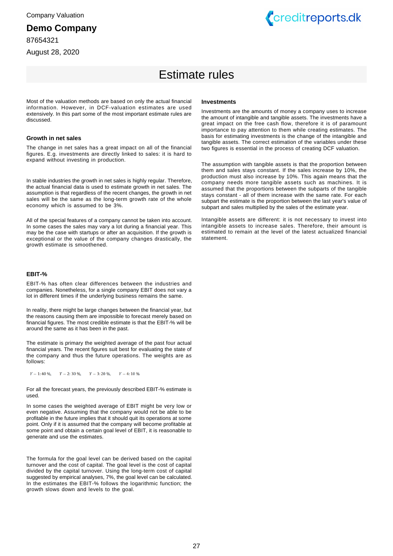87654321

August 28, 2020



# Estimate rules

Most of the valuation methods are based on only the actual financial information. However, in DCF-valuation estimates are used extensively. In this part some of the most important estimate rules are discussed.

#### **Growth in net sales**

The change in net sales has a great impact on all of the financial figures. E.g. investments are directly linked to sales: it is hard to expand without investing in production.

In stable industries the growth in net sales is highly regular. Therefore, the actual financial data is used to estimate growth in net sales. The assumption is that regardless of the recent changes, the growth in net sales will be the same as the long-term growth rate of the whole economy which is assumed to be 3%.

All of the special features of a company cannot be taken into account. In some cases the sales may vary a lot during a financial year. This may be the case with startups or after an acquisition. If the growth is exceptional or the value of the company changes drastically, the growth estimate is smoothened.

#### **EBIT-%**

EBIT-% has often clear differences between the industries and companies. Nonetheless, for a single company EBIT does not vary a lot in different times if the underlying business remains the same.

In reality, there might be large changes between the financial year, but the reasons causing them are impossible to forecast merely based on financial figures. The most credible estimate is that the EBIT-% will be around the same as it has been in the past.

The estimate is primary the weighted average of the past four actual financial years. The recent figures suit best for evaluating the state of the company and thus the future operations. The weights are as follows:

 $Y - 1:40\%$ ,  $Y - 2:30\%$ ,  $Y - 3:20\%$ ,  $Y - 4:10\%$ 

For all the forecast years, the previously described EBIT-% estimate is used.

In some cases the weighted average of EBIT might be very low or even negative. Assuming that the company would not be able to be profitable in the future implies that it should quit its operations at some point. Only if it is assumed that the company will become profitable at some point and obtain a certain goal level of EBIT, it is reasonable to generate and use the estimates.

The formula for the goal level can be derived based on the capital turnover and the cost of capital. The goal level is the cost of capital divided by the capital turnover. Using the long-term cost of capital suggested by empirical analyses, 7%, the goal level can be calculated. In the estimates the EBIT-% follows the logarithmic function; the growth slows down and levels to the goal.

#### **Investments**

Investments are the amounts of money a company uses to increase the amount of intangible and tangible assets. The investments have a great impact on the free cash flow, therefore it is of paramount importance to pay attention to them while creating estimates. The basis for estimating investments is the change of the intangible and tangible assets. The correct estimation of the variables under these two figures is essential in the process of creating DCF valuation.

The assumption with tangible assets is that the proportion between them and sales stays constant. If the sales increase by 10%, the production must also increase by 10%. This again means that the company needs more tangible assets such as machines. It is assumed that the proportions between the subparts of the tangible stays constant - all of them increase with the same rate. For each subpart the estimate is the proportion between the last year's value of subpart and sales multiplied by the sales of the estimate year.

Intangible assets are different: it is not necessary to invest into intangible assets to increase sales. Therefore, their amount is estimated to remain at the level of the latest actualized financial statement.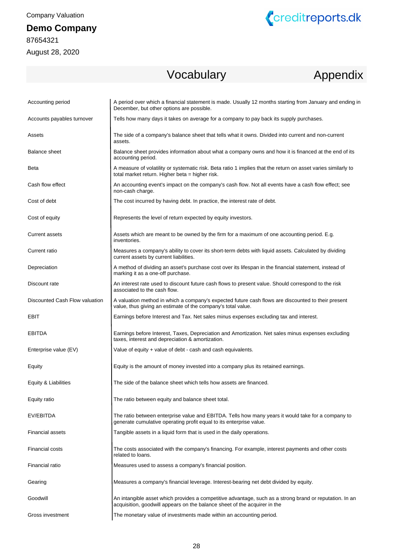# **Demo Company**

87654321 August 28, 2020



# Vocabulary Appendix

| Accounting period              | A period over which a financial statement is made. Usually 12 months starting from January and ending in<br>December, but other options are possible.                                |
|--------------------------------|--------------------------------------------------------------------------------------------------------------------------------------------------------------------------------------|
| Accounts payables turnover     | Tells how many days it takes on average for a company to pay back its supply purchases.                                                                                              |
| Assets                         | The side of a company's balance sheet that tells what it owns. Divided into current and non-current<br>assets.                                                                       |
| <b>Balance sheet</b>           | Balance sheet provides information about what a company owns and how it is financed at the end of its<br>accounting period.                                                          |
| <b>Beta</b>                    | A measure of volatility or systematic risk. Beta ratio 1 implies that the return on asset varies similarly to<br>total market return. Higher beta = higher risk.                     |
| Cash flow effect               | An accounting event's impact on the company's cash flow. Not all events have a cash flow effect; see<br>non-cash charge.                                                             |
| Cost of debt                   | The cost incurred by having debt. In practice, the interest rate of debt.                                                                                                            |
| Cost of equity                 | Represents the level of return expected by equity investors.                                                                                                                         |
| Current assets                 | Assets which are meant to be owned by the firm for a maximum of one accounting period. E.g.<br>inventories.                                                                          |
| Current ratio                  | Measures a company's ability to cover its short-term debts with liquid assets. Calculated by dividing<br>current assets by current liabilities.                                      |
| Depreciation                   | A method of dividing an asset's purchase cost over its lifespan in the financial statement, instead of<br>marking it as a one-off purchase.                                          |
| Discount rate                  | An interest rate used to discount future cash flows to present value. Should correspond to the risk<br>associated to the cash flow.                                                  |
| Discounted Cash Flow valuation | A valuation method in which a company's expected future cash flows are discounted to their present<br>value, thus giving an estimate of the company's total value.                   |
| EBIT                           | Earnings before Interest and Tax. Net sales minus expenses excluding tax and interest.                                                                                               |
| <b>EBITDA</b>                  | Earnings before Interest, Taxes, Depreciation and Amortization. Net sales minus expenses excluding<br>taxes, interest and depreciation & amortization.                               |
| Enterprise value (EV)          | Value of equity + value of debt - cash and cash equivalents.                                                                                                                         |
| Equity                         | Equity is the amount of money invested into a company plus its retained earnings.                                                                                                    |
| Equity & Liabilities           | The side of the balance sheet which tells how assets are financed.                                                                                                                   |
| Equity ratio                   | The ratio between equity and balance sheet total.                                                                                                                                    |
| EV/EBITDA                      | The ratio between enterprise value and EBITDA. Tells how many years it would take for a company to<br>generate cumulative operating profit equal to its enterprise value.            |
| <b>Financial assets</b>        | Tangible assets in a liquid form that is used in the daily operations.                                                                                                               |
| <b>Financial costs</b>         | The costs associated with the company's financing. For example, interest payments and other costs<br>related to loans.                                                               |
| Financial ratio                | Measures used to assess a company's financial position.                                                                                                                              |
| Gearing                        | Measures a company's financial leverage. Interest-bearing net debt divided by equity.                                                                                                |
| Goodwill                       | An intangible asset which provides a competitive advantage, such as a strong brand or reputation. In an<br>acquisition, goodwill appears on the balance sheet of the acquirer in the |
| Gross investment               | The monetary value of investments made within an accounting period.                                                                                                                  |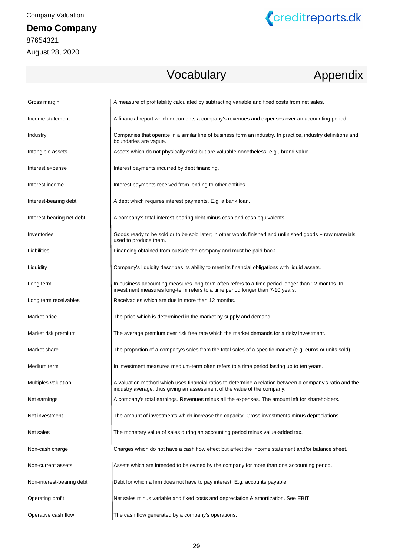# **Demo Company**

87654321 August 28, 2020



# Vocabulary

# Appendix

| Gross margin              | A measure of profitability calculated by subtracting variable and fixed costs from net sales.                                                                                        |
|---------------------------|--------------------------------------------------------------------------------------------------------------------------------------------------------------------------------------|
| Income statement          | A financial report which documents a company's revenues and expenses over an accounting period.                                                                                      |
| Industry                  | Companies that operate in a similar line of business form an industry. In practice, industry definitions and<br>boundaries are vague.                                                |
| Intangible assets         | Assets which do not physically exist but are valuable nonetheless, e.g., brand value.                                                                                                |
| Interest expense          | Interest payments incurred by debt financing.                                                                                                                                        |
| Interest income           | Interest payments received from lending to other entities.                                                                                                                           |
| Interest-bearing debt     | A debt which requires interest payments. E.g. a bank loan.                                                                                                                           |
| Interest-bearing net debt | A company's total interest-bearing debt minus cash and cash equivalents.                                                                                                             |
| Inventories               | Goods ready to be sold or to be sold later; in other words finished and unfinished goods + raw materials<br>used to produce them.                                                    |
| Liabilities               | Financing obtained from outside the company and must be paid back.                                                                                                                   |
| Liquidity                 | Company's liquidity describes its ability to meet its financial obligations with liquid assets.                                                                                      |
| Long term                 | In business accounting measures long-term often refers to a time period longer than 12 months. In<br>investment measures long-term refers to a time period longer than 7-10 years.   |
| Long term receivables     | Receivables which are due in more than 12 months.                                                                                                                                    |
| Market price              | The price which is determined in the market by supply and demand.                                                                                                                    |
| Market risk premium       | The average premium over risk free rate which the market demands for a risky investment.                                                                                             |
| Market share              | The proportion of a company's sales from the total sales of a specific market (e.g. euros or units sold).                                                                            |
| Medium term               | In investment measures medium-term often refers to a time period lasting up to ten years.                                                                                            |
| Multiples valuation       | A valuation method which uses financial ratios to determine a relation between a company's ratio and the<br>industry average, thus giving an assessment of the value of the company. |
| Net earnings              | A company's total earnings. Revenues minus all the expenses. The amount left for shareholders.                                                                                       |
| Net investment            | The amount of investments which increase the capacity. Gross investments minus depreciations.                                                                                        |
| Net sales                 | The monetary value of sales during an accounting period minus value-added tax.                                                                                                       |
| Non-cash charge           | Charges which do not have a cash flow effect but affect the income statement and/or balance sheet.                                                                                   |
| Non-current assets        | Assets which are intended to be owned by the company for more than one accounting period.                                                                                            |
| Non-interest-bearing debt | Debt for which a firm does not have to pay interest. E.g. accounts payable.                                                                                                          |
| Operating profit          | Net sales minus variable and fixed costs and depreciation & amortization. See EBIT.                                                                                                  |
| Operative cash flow       | The cash flow generated by a company's operations.                                                                                                                                   |